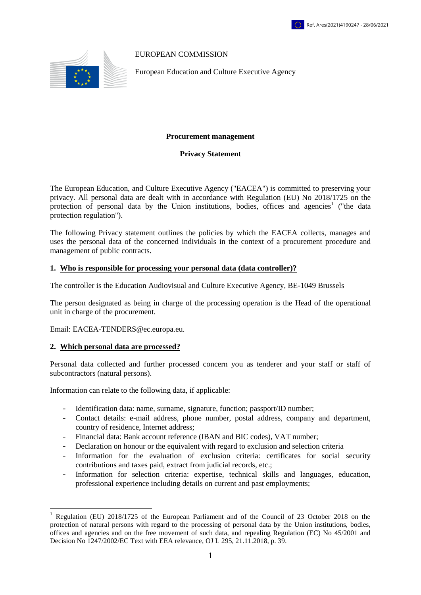### EUROPEAN COMMISSION

European Education and Culture Executive Agency

#### **Procurement management**

#### **Privacy Statement**

The European Education, and Culture Executive Agency ("EACEA") is committed to preserving your privacy. All personal data are dealt with in accordance with Regulation (EU) No 2018/1725 on the protection of personal data by the Union institutions, bodies, offices and agencies<sup>1</sup> ("the data protection regulation").

The following Privacy statement outlines the policies by which the EACEA collects, manages and uses the personal data of the concerned individuals in the context of a procurement procedure and management of public contracts.

#### **1. Who is responsible for processing your personal data (data controller)?**

The controller is the Education Audiovisual and Culture Executive Agency, BE-1049 Brussels

The person designated as being in charge of the processing operation is the Head of the operational unit in charge of the procurement.

Email: EACEA-TENDERS@ec.europa.eu.

#### **2. Which personal data are processed?**

1

Personal data collected and further processed concern you as tenderer and your staff or staff of subcontractors (natural persons).

Information can relate to the following data, if applicable:

- Identification data: name, surname, signature, function; passport/ID number;
- Contact details: e-mail address, phone number, postal address, company and department, country of residence, Internet address;
- Financial data: Bank account reference (IBAN and BIC codes), VAT number;
- Declaration on honour or the equivalent with regard to exclusion and selection criteria
- Information for the evaluation of exclusion criteria: certificates for social security contributions and taxes paid, extract from judicial records, etc.;
- Information for selection criteria: expertise, technical skills and languages, education, professional experience including details on current and past employments;

<sup>1</sup> Regulation (EU) 2018/1725 of the European Parliament and of the Council of 23 October 2018 on the protection of natural persons with regard to the processing of personal data by the Union institutions, bodies, offices and agencies and on the free movement of such data, and repealing Regulation (EC) No 45/2001 and Decision No 1247/2002/EC Text with EEA relevance, OJ L 295, 21.11.2018, p. 39*.*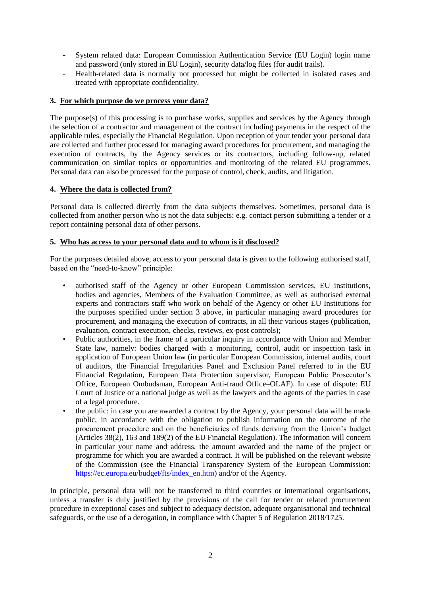- System related data: European Commission Authentication Service (EU Login) login name and password (only stored in EU Login), security data/log files (for audit trails).
- Health-related data is normally not processed but might be collected in isolated cases and treated with appropriate confidentiality.

# **3. For which purpose do we process your data?**

The purpose(s) of this processing is to purchase works, supplies and services by the Agency through the selection of a contractor and management of the contract including payments in the respect of the applicable rules, especially the Financial Regulation. Upon reception of your tender your personal data are collected and further processed for managing award procedures for procurement, and managing the execution of contracts, by the Agency services or its contractors, including follow-up, related communication on similar topics or opportunities and monitoring of the related EU programmes. Personal data can also be processed for the purpose of control, check, audits, and litigation.

# **4. Where the data is collected from?**

Personal data is collected directly from the data subjects themselves. Sometimes, personal data is collected from another person who is not the data subjects: e.g. contact person submitting a tender or a report containing personal data of other persons.

# **5. Who has access to your personal data and to whom is it disclosed?**

For the purposes detailed above, access to your personal data is given to the following authorised staff, based on the "need-to-know" principle:

- authorised staff of the Agency or other European Commission services, EU institutions, bodies and agencies, Members of the Evaluation Committee, as well as authorised external experts and contractors staff who work on behalf of the Agency or other EU Institutions for the purposes specified under section 3 above, in particular managing award procedures for procurement, and managing the execution of contracts, in all their various stages (publication, evaluation, contract execution, checks, reviews, ex-post controls);
- Public authorities, in the frame of a particular inquiry in accordance with Union and Member State law, namely: bodies charged with a monitoring, control, audit or inspection task in application of European Union law (in particular European Commission, internal audits, court of auditors, the Financial Irregularities Panel and Exclusion Panel referred to in the EU Financial Regulation, European Data Protection supervisor, European Public Prosecutor's Office, European Ombudsman, European Anti-fraud Office–OLAF). In case of dispute: EU Court of Justice or a national judge as well as the lawyers and the agents of the parties in case of a legal procedure.
- the public: in case you are awarded a contract by the Agency, your personal data will be made public, in accordance with the obligation to publish information on the outcome of the procurement procedure and on the beneficiaries of funds deriving from the Union's budget  $(A$ rticles 38 $(2)$ , 163 and 189 $(2)$  of the EU Financial Regulation). The information will concern in particular your name and address, the amount awarded and the name of the project or programme for which you are awarded a contract. It will be published on the relevant website of the Commission (see the Financial Transparency System of the European Commission: [https://ec.europa.eu/budget/fts/index\\_en.htm\)](https://ec.europa.eu/budget/fts/index_en.htm) and/or of the Agency.

In principle, personal data will not be transferred to third countries or international organisations, unless a transfer is duly justified by the provisions of the call for tender or related procurement procedure in exceptional cases and subject to adequacy decision, adequate organisational and technical safeguards, or the use of a derogation, in compliance with Chapter 5 of Regulation 2018/1725.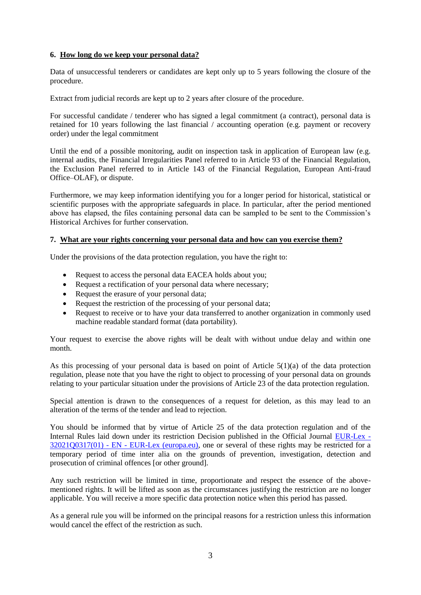## **6. How long do we keep your personal data?**

Data of unsuccessful tenderers or candidates are kept only up to 5 years following the closure of the procedure.

Extract from judicial records are kept up to 2 years after closure of the procedure.

For successful candidate / tenderer who has signed a legal commitment (a contract), personal data is retained for 10 years following the last financial / accounting operation (e.g. payment or recovery order) under the legal commitment

Until the end of a possible monitoring, audit on inspection task in application of European law (e.g. internal audits, the Financial Irregularities Panel referred to in Article 93 of the Financial Regulation, the Exclusion Panel referred to in Article 143 of the Financial Regulation, European Anti-fraud Office–OLAF), or dispute.

Furthermore, we may keep information identifying you for a longer period for historical, statistical or scientific purposes with the appropriate safeguards in place. In particular, after the period mentioned above has elapsed, the files containing personal data can be sampled to be sent to the Commission's Historical Archives for further conservation.

### **7. What are your rights concerning your personal data and how can you exercise them?**

Under the provisions of the data protection regulation, you have the right to:

- Request to access the personal data EACEA holds about you;
- Request a rectification of your personal data where necessary;
- Request the erasure of your personal data;
- Request the restriction of the processing of your personal data;
- Request to receive or to have your data transferred to another organization in commonly used machine readable standard format (data portability).

Your request to exercise the above rights will be dealt with without undue delay and within one month.

As this processing of your personal data is based on point of Article 5(1)(a) of the data protection regulation, please note that you have the right to object to processing of your personal data on grounds relating to your particular situation under the provisions of Article 23 of the data protection regulation.

Special attention is drawn to the consequences of a request for deletion, as this may lead to an alteration of the terms of the tender and lead to rejection.

You should be informed that by virtue of Article 25 of the data protection regulation and of the Internal Rules laid down under its restriction Decision published in the Official Journal [EUR-Lex -](https://eur-lex.europa.eu/legal-content/EN/TXT/?uri=CELEX%3A32021Q0317%2801%29) 32021Q0317(01) - EN - [EUR-Lex \(europa.eu\),](https://eur-lex.europa.eu/legal-content/EN/TXT/?uri=CELEX%3A32021Q0317%2801%29) one or several of these rights may be restricted for a temporary period of time inter alia on the grounds of prevention, investigation, detection and prosecution of criminal offences [or other ground].

Any such restriction will be limited in time, proportionate and respect the essence of the abovementioned rights. It will be lifted as soon as the circumstances justifying the restriction are no longer applicable. You will receive a more specific data protection notice when this period has passed.

As a general rule you will be informed on the principal reasons for a restriction unless this information would cancel the effect of the restriction as such.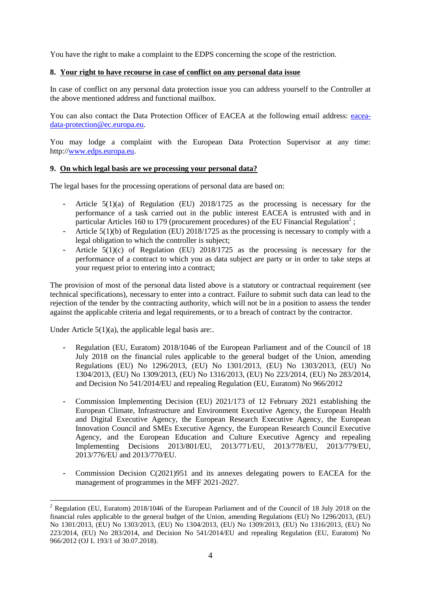You have the right to make a complaint to the EDPS concerning the scope of the restriction.

## **8. Your right to have recourse in case of conflict on any personal data issue**

In case of conflict on any personal data protection issue you can address yourself to the Controller at the above mentioned address and functional mailbox.

You can also contact the Data Protection Officer of EACEA at the following email address: [eacea](mailto:eacea-data-protection@ec.europa.eu)[data-protection@ec.europa.eu.](mailto:eacea-data-protection@ec.europa.eu)

You may lodge a complaint with the European Data Protection Supervisor at any time: http:/[/www.edps.europa.eu.](http://www.edps.europa.eu/)

# **9. On which legal basis are we processing your personal data?**

The legal bases for the processing operations of personal data are based on:

- Article  $5(1)(a)$  of Regulation (EU) 2018/1725 as the processing is necessary for the performance of a task carried out in the public interest EACEA is entrusted with and in particular Articles 160 to 179 (procurement procedures) of the EU Financial Regulation<sup>2</sup>;
- Article 5(1)(b) of Regulation (EU) 2018/1725 as the processing is necessary to comply with a legal obligation to which the controller is subject;
- Article 5(1)(c) of Regulation (EU) 2018/1725 as the processing is necessary for the performance of a contract to which you as data subject are party or in order to take steps at your request prior to entering into a contract;

The provision of most of the personal data listed above is a statutory or contractual requirement (see technical specifications), necessary to enter into a contract. Failure to submit such data can lead to the rejection of the tender by the contracting authority, which will not be in a position to assess the tender against the applicable criteria and legal requirements, or to a breach of contract by the contractor.

Under Article  $5(1)(a)$ , the applicable legal basis are:.

<u>.</u>

- Regulation (EU, Euratom) 2018/1046 of the European Parliament and of the Council of 18 July 2018 on the financial rules applicable to the general budget of the Union, amending Regulations (EU) No 1296/2013, (EU) No 1301/2013, (EU) No 1303/2013, (EU) No 1304/2013, (EU) No 1309/2013, (EU) No 1316/2013, (EU) No 223/2014, (EU) No 283/2014, and Decision No 541/2014/EU and repealing Regulation (EU, Euratom) No 966/2012
- Commission Implementing Decision (EU) 2021/173 of 12 February 2021 establishing the European Climate, Infrastructure and Environment Executive Agency, the European Health and Digital Executive Agency, the European Research Executive Agency, the European Innovation Council and SMEs Executive Agency, the European Research Council Executive Agency, and the European Education and Culture Executive Agency and repealing Implementing Decisions 2013/801/EU, 2013/771/EU, 2013/778/EU, 2013/779/EU, 2013/776/EU and 2013/770/EU.
- Commission Decision  $C(2021)951$  and its annexes delegating powers to EACEA for the management of programmes in the MFF 2021-2027.

<sup>&</sup>lt;sup>2</sup> Regulation (EU, Euratom) 2018/1046 of the European Parliament and of the Council of 18 July 2018 on the financial rules applicable to the general budget of the Union, amending Regulations (EU) No 1296/2013, (EU) No 1301/2013, (EU) No 1303/2013, (EU) No 1304/2013, (EU) No 1309/2013, (EU) No 1316/2013, (EU) No 223/2014, (EU) No 283/2014, and Decision No 541/2014/EU and repealing Regulation (EU, Euratom) No 966/2012 (OJ L 193/1 of 30.07.2018).